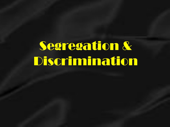## Segregation & Discrimination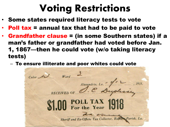### Voting Restrictions

- Some states required literacy tests to vote
- **Poll tax**  $=$  **annual tax that had to be paid to vote**
- Grandfather clause = (in some Southern states) if a man's father or grandfather had voted before Jan. 1, 1867—then he could vote (w/o taking literacy tests)
	- To ensure illiterate and poor whites could vote

 $Color \nightharpoonup$  Ward 2 Alexandria, La. 7.2.1918. \$1.00 POLL TAX 1918 Sheriff and Ex-Officio Tax Collector, Ramae Parish, La.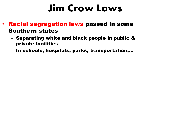#### Jim Crow Laws

- Racial segregation laws passed in some Southern states
	- Separating white and black people in public & private facilities
	- In schools, hospitals, parks, transportation,…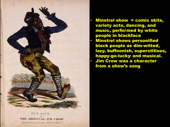

MET. RICE THE ORIGINAL JIM CROW NorTark Paleby E. RILEY Nº29 Chatham S!

• Minstrel show = comic skits, variety acts, dancing, and music, performed by white people in blackface **Minstrel shows personified** black people as dim-witted, lazy, buffoonish, superstitious, happy-go-lucky, and musical. • Jim Crow was a character from a show's song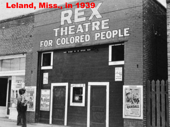#### Leland, Miss., in 1939

THEAT RE<br>FOR COLORED PEOPLE

 $4.444$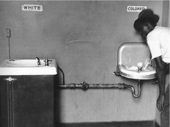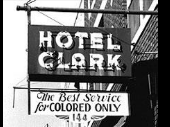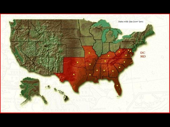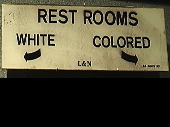# REST ROOMS **WHITE** COLORED L&N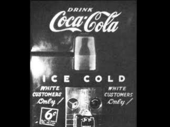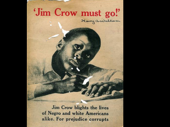

Jim Crow blights the lives of Negro and white Americans alike. For prejudice corrupts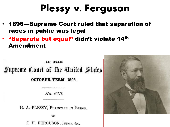### Plessy v. Ferguson

- 1896—Supreme Court ruled that separation of races in public was legal
- "Separate but equal" didn't violate 14th Amendment

IN THE Supreme Court of the United States

OCTOBER TERM, 1895.

No. 210.

H. A. PLESSY, PLAINTIFF IN ERROR,

US.

J. H. FERGUSON, JUDGE, &c.

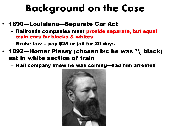#### Background on the Case

- 1890—Louisiana—Separate Car Act
	- Railroads companies must provide separate, but equal train cars for blacks & whites
	- $-$  Broke law = pay \$25 or jail for 20 days
- 1892—Homer Plessy (chosen b/c he was  $\frac{1}{8}$  black) sat in white section of train
	- Rail company knew he was coming—had him arrested

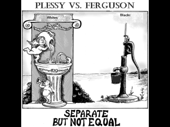#### PLESSY VS. FERGUSON



# SEPARATE<br>BUT NOT EQUAL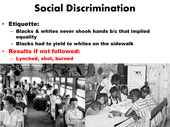#### Social Discrimination

- **Etiquette:** 
	- Blacks & whites never shook hands b/c that implied equality
	- Blacks had to yield to whites on the sidewalk
- Results if not followed:
	- Lynched, shot, burned

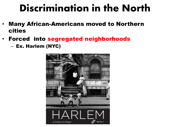#### Discrimination in the North

- Many African-Americans moved to Northern cities
- Forced into segregated neighborhoods
	- Ex. Harlem (NYC)

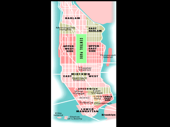